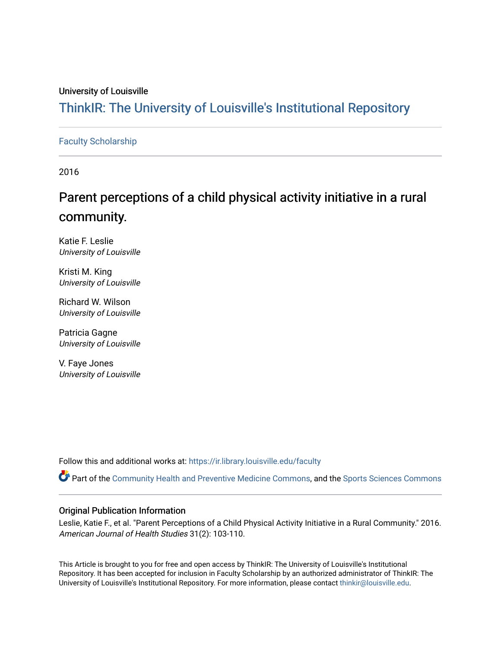## University of Louisville

## ThinkIR: The Univ[ersity of Louisville's Institutional Reposit](https://ir.library.louisville.edu/)ory

## [Faculty Scholarship](https://ir.library.louisville.edu/faculty)

2016

# Parent perceptions of a child physical activity initiative in a rural community.

Katie F. Leslie University of Louisville

Kristi M. King University of Louisville

Richard W. Wilson University of Louisville

Patricia Gagne University of Louisville

V. Faye Jones University of Louisville

Follow this and additional works at: [https://ir.library.louisville.edu/faculty](https://ir.library.louisville.edu/faculty?utm_source=ir.library.louisville.edu%2Ffaculty%2F328&utm_medium=PDF&utm_campaign=PDFCoverPages)

Part of the [Community Health and Preventive Medicine Commons](http://network.bepress.com/hgg/discipline/744?utm_source=ir.library.louisville.edu%2Ffaculty%2F328&utm_medium=PDF&utm_campaign=PDFCoverPages), and the Sports Sciences Commons

## Original Publication Information

Leslie, Katie F., et al. "Parent Perceptions of a Child Physical Activity Initiative in a Rural Community." 2016. American Journal of Health Studies 31(2): 103-110.

This Article is brought to you for free and open access by ThinkIR: The University of Louisville's Institutional Repository. It has been accepted for inclusion in Faculty Scholarship by an authorized administrator of ThinkIR: The University of Louisville's Institutional Repository. For more information, please contact [thinkir@louisville.edu](mailto:thinkir@louisville.edu).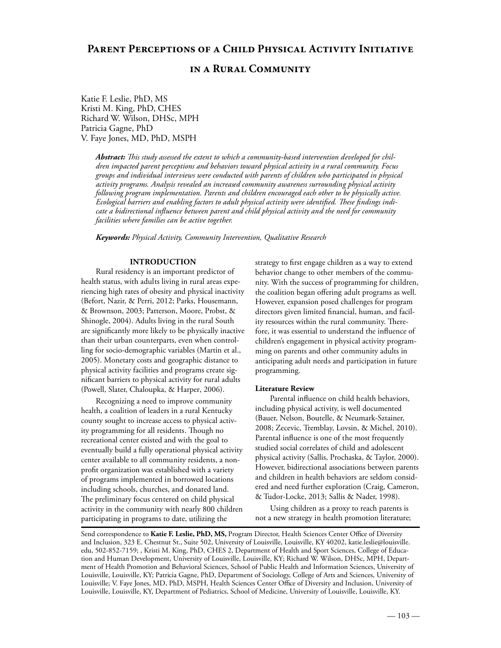## **PARENT PERCEPTIONS OF A CHILD PHYSICAL ACTIVITY INITIATIVE**

## **IN A RURAL COMMUNITY**

Katie F. Leslie, PhD, MS Kristi M. King, PhD, CHES Richard W. Wilson, DHSc, MPH Patricia Gagne, PhD V. Faye Jones, MD, PhD, MSPH

> Abstract: This study assessed the extent to which a community-based intervention developed for chil*dren impacted parent perceptions and behaviors toward physical activity in a rural community. Focus groups and individual interviews were conducted with parents of children who participated in physical activity programs. Analysis revealed an increased community awareness surrounding physical activity following program implementation. Parents and children encouraged each other to be physically active.*  Ecological barriers and enabling factors to adult physical activity were identified. These findings indicate a bidirectional influence between parent and child physical activity and the need for community *facilities where families can be active together.*

*Keywords: Physical Activity, Community Intervention, Qualitative Research*

## INTRODUCTION

Rural residency is an important predictor of health status, with adults living in rural areas experiencing high rates of obesity and physical inactivity (Befort, Nazir, & Perri, 2012; Parks, Housemann, & Brownson, 2003; Patterson, Moore, Probst, & Shinogle, 2004). Adults living in the rural South are significantly more likely to be physically inactive than their urban counterparts, even when controlling for socio-demographic variables (Martin et al., 2005). Monetary costs and geographic distance to physical activity facilities and programs create significant barriers to physical activity for rural adults (Powell, Slater, Chaloupka, & Harper, 2006).

Recognizing a need to improve community health, a coalition of leaders in a rural Kentucky county sought to increase access to physical activity programming for all residents. Though no recreational center existed and with the goal to eventually build a fully operational physical activity center available to all community residents, a nonprofit organization was established with a variety of programs implemented in borrowed locations including schools, churches, and donated land. The preliminary focus centered on child physical activity in the community with nearly 800 children participating in programs to date, utilizing the

strategy to first engage children as a way to extend behavior change to other members of the community. With the success of programming for children, the coalition began offering adult programs as well. However, expansion posed challenges for program directors given limited financial, human, and facility resources within the rural community. Therefore, it was essential to understand the influence of children's engagement in physical activity programming on parents and other community adults in anticipating adult needs and participation in future programming.

### Literature Review

Parental influence on child health behaviors, including physical activity, is well documented (Bauer, Nelson, Boutelle, & Neumark-Sztainer, 2008; Zecevic, Tremblay, Lovsin, & Michel, 2010). Parental influence is one of the most frequently studied social correlates of child and adolescent physical activity (Sallis, Prochaska, & Taylor, 2000). However, bidirectional associations between parents and children in health behaviors are seldom considered and need further exploration (Craig, Cameron, & Tudor-Locke, 2013; Sallis & Nader, 1998).

Using children as a proxy to reach parents is not a new strategy in health promotion literature;

Send correspondence to Katie F. Leslie, PhD, MS, Program Director, Health Sciences Center Office of Diversity and Inclusion, 323 E. Chestnut St., Suite 502, University of Louisville, Louisville, KY 40202, katie.leslie@louisville. edu, 502-852-7159; , Kristi M. King, PhD, CHES 2, Department of Health and Sport Sciences, College of Education and Human Development, University of Louisville, Louisville, KY; Richard W. Wilson, DHSc, MPH, Department of Health Promotion and Behavioral Sciences, School of Public Health and Information Sciences, University of Louisville, Louisville, KY; Patricia Gagne, PhD, Department of Sociology, College of Arts and Sciences, University of Louisville; V. Faye Jones, MD, PhD, MSPH, Health Sciences Center Office of Diversity and Inclusion, University of Louisville, Louisville, KY, Department of Pediatrics, School of Medicine, University of Louisville, Louisville, KY.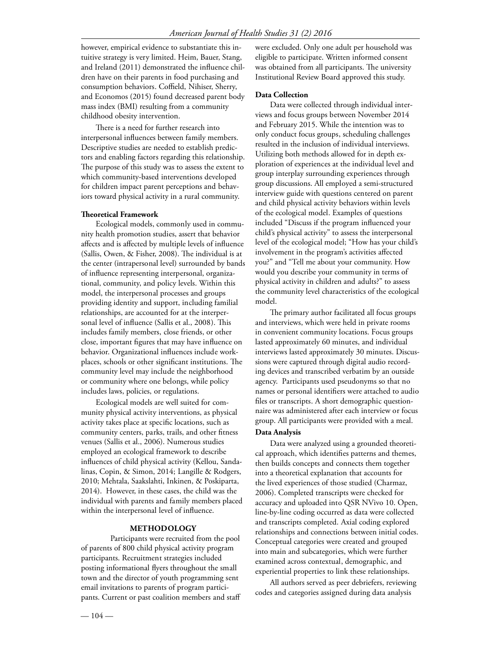however, empirical evidence to substantiate this intuitive strategy is very limited. Heim, Bauer, Stang, and Ireland  $(2011)$  demonstrated the influence children have on their parents in food purchasing and consumption behaviors. Coffield, Nihiser, Sherry, and Economos (2015) found decreased parent body mass index (BMI) resulting from a community childhood obesity intervention.

There is a need for further research into interpersonal influences between family members. Descriptive studies are needed to establish predictors and enabling factors regarding this relationship. The purpose of this study was to assess the extent to which community-based interventions developed for children impact parent perceptions and behaviors toward physical activity in a rural community.

### Theoretical Framework

Ecological models, commonly used in community health promotion studies, assert that behavior affects and is affected by multiple levels of influence (Sallis, Owen, & Fisher, 2008). The individual is at the center (intrapersonal level) surrounded by bands of influence representing interpersonal, organizational, community, and policy levels. Within this model, the interpersonal processes and groups providing identity and support, including familial relationships, are accounted for at the interpersonal level of influence (Sallis et al., 2008). This includes family members, close friends, or other close, important figures that may have influence on behavior. Organizational influences include workplaces, schools or other significant institutions. The community level may include the neighborhood or community where one belongs, while policy includes laws, policies, or regulations.

Ecological models are well suited for community physical activity interventions, as physical activity takes place at specific locations, such as community centers, parks, trails, and other fitness venues (Sallis et al., 2006). Numerous studies employed an ecological framework to describe influences of child physical activity (Kellou, Sandalinas, Copin, & Simon, 2014; Langille & Rodgers, 2010; Mehtala, Saakslahti, Inkinen, & Poskiparta, 2014). However, in these cases, the child was the individual with parents and family members placed within the interpersonal level of influence.

### METHODOLOGY

 Participants were recruited from the pool of parents of 800 child physical activity program participants. Recruitment strategies included posting informational flyers throughout the small town and the director of youth programming sent email invitations to parents of program participants. Current or past coalition members and staff

were excluded. Only one adult per household was eligible to participate. Written informed consent was obtained from all participants. The university Institutional Review Board approved this study.

#### Data Collection

Data were collected through individual interviews and focus groups between November 2014 and February 2015. While the intention was to only conduct focus groups, scheduling challenges resulted in the inclusion of individual interviews. Utilizing both methods allowed for in depth exploration of experiences at the individual level and group interplay surrounding experiences through group discussions. All employed a semi-structured interview guide with questions centered on parent and child physical activity behaviors within levels of the ecological model. Examples of questions included "Discuss if the program influenced your child's physical activity" to assess the interpersonal level of the ecological model; "How has your child's involvement in the program's activities affected you?" and "Tell me about your community. How would you describe your community in terms of physical activity in children and adults?" to assess the community level characteristics of the ecological model.

The primary author facilitated all focus groups and interviews, which were held in private rooms in convenient community locations. Focus groups lasted approximately 60 minutes, and individual interviews lasted approximately 30 minutes. Discussions were captured through digital audio recording devices and transcribed verbatim by an outside agency. Participants used pseudonyms so that no names or personal identifiers were attached to audio files or transcripts. A short demographic questionnaire was administered after each interview or focus group. All participants were provided with a meal. Data Analysis

## Data were analyzed using a grounded theoretical approach, which identifies patterns and themes, then builds concepts and connects them together into a theoretical explanation that accounts for the lived experiences of those studied (Charmaz, 2006). Completed transcripts were checked for accuracy and uploaded into QSR NVivo 10. Open, line-by-line coding occurred as data were collected and transcripts completed. Axial coding explored relationships and connections between initial codes. Conceptual categories were created and grouped into main and subcategories, which were further examined across contextual, demographic, and experiential properties to link these relationships.

All authors served as peer debriefers, reviewing codes and categories assigned during data analysis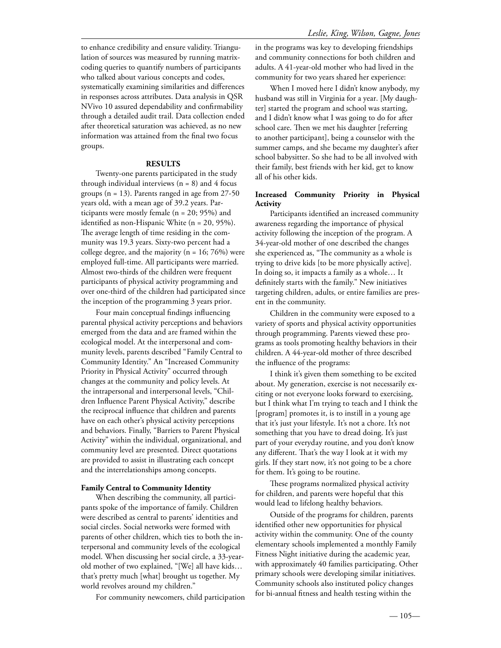to enhance credibility and ensure validity. Triangulation of sources was measured by running matrixcoding queries to quantify numbers of participants who talked about various concepts and codes, systematically examining similarities and differences in responses across attributes. Data analysis in QSR NVivo 10 assured dependability and confirmability through a detailed audit trail. Data collection ended after theoretical saturation was achieved, as no new information was attained from the final two focus groups.

#### RESULTS

Twenty-one parents participated in the study through individual interviews  $(n = 8)$  and 4 focus groups (n = 13). Parents ranged in age from 27-50 years old, with a mean age of 39.2 years. Participants were mostly female (n = 20; 95%) and identified as non-Hispanic White ( $n = 20, 95\%$ ). The average length of time residing in the community was 19.3 years. Sixty-two percent had a college degree, and the majority ( $n = 16$ ; 76%) were employed full-time. All participants were married. Almost two-thirds of the children were frequent participants of physical activity programming and over one-third of the children had participated since the inception of the programming 3 years prior.

Four main conceptual findings influencing parental physical activity perceptions and behaviors emerged from the data and are framed within the ecological model. At the interpersonal and community levels, parents described "Family Central to Community Identity." An "Increased Community Priority in Physical Activity" occurred through changes at the community and policy levels. At the intrapersonal and interpersonal levels, "Children Influence Parent Physical Activity," describe the reciprocal influence that children and parents have on each other's physical activity perceptions and behaviors. Finally, "Barriers to Parent Physical Activity" within the individual, organizational, and community level are presented. Direct quotations are provided to assist in illustrating each concept and the interrelationships among concepts.

#### Family Central to Community Identity

When describing the community, all participants spoke of the importance of family. Children were described as central to parents' identities and social circles. Social networks were formed with parents of other children, which ties to both the interpersonal and community levels of the ecological model. When discussing her social circle, a 33-yearold mother of two explained, "[We] all have kids… that's pretty much [what] brought us together. My world revolves around my children."

For community newcomers, child participation

in the programs was key to developing friendships and community connections for both children and adults. A 41-year-old mother who had lived in the community for two years shared her experience:

When I moved here I didn't know anybody, my husband was still in Virginia for a year. [My daughter] started the program and school was starting, and I didn't know what I was going to do for after school care. Then we met his daughter [referring] to another participant], being a counselor with the summer camps, and she became my daughter's after school babysitter. So she had to be all involved with their family, best friends with her kid, get to know all of his other kids.

## Increased Community Priority in Physical **Activity**

Participants identified an increased community awareness regarding the importance of physical activity following the inception of the program. A 34-year-old mother of one described the changes she experienced as, "The community as a whole is trying to drive kids [to be more physically active]. In doing so, it impacts a family as a whole… It definitely starts with the family." New initiatives targeting children, adults, or entire families are present in the community.

Children in the community were exposed to a variety of sports and physical activity opportunities through programming. Parents viewed these programs as tools promoting healthy behaviors in their children. A 44-year-old mother of three described the influence of the programs:

I think it's given them something to be excited about. My generation, exercise is not necessarily exciting or not everyone looks forward to exercising, but I think what I'm trying to teach and I think the [program] promotes it, is to instill in a young age that it's just your lifestyle. It's not a chore. It's not something that you have to dread doing. It's just part of your everyday routine, and you don't know any different. That's the way I look at it with my girls. If they start now, it's not going to be a chore for them. It's going to be routine.

These programs normalized physical activity for children, and parents were hopeful that this would lead to lifelong healthy behaviors.

Outside of the programs for children, parents identified other new opportunities for physical activity within the community. One of the county elementary schools implemented a monthly Family Fitness Night initiative during the academic year, with approximately 40 families participating. Other primary schools were developing similar initiatives. Community schools also instituted policy changes for bi-annual fitness and health testing within the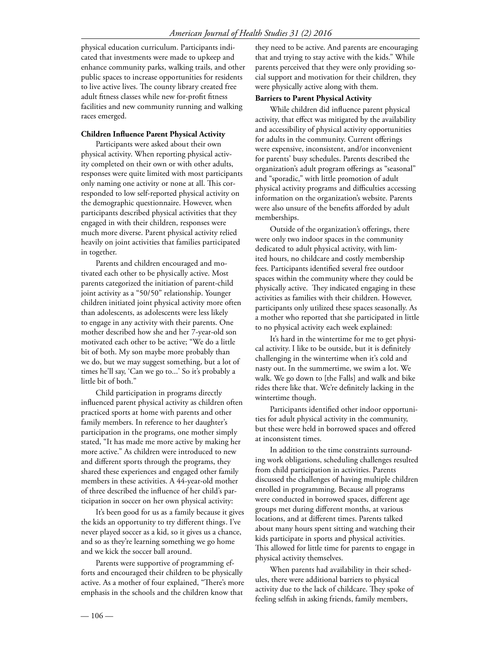physical education curriculum. Participants indicated that investments were made to upkeep and enhance community parks, walking trails, and other public spaces to increase opportunities for residents to live active lives. The county library created free adult fitness classes while new for-profit fitness facilities and new community running and walking races emerged.

## Children Influence Parent Physical Activity

Participants were asked about their own physical activity. When reporting physical activity completed on their own or with other adults, responses were quite limited with most participants only naming one activity or none at all. This corresponded to low self-reported physical activity on the demographic questionnaire. However, when participants described physical activities that they engaged in with their children, responses were much more diverse. Parent physical activity relied heavily on joint activities that families participated in together.

Parents and children encouraged and motivated each other to be physically active. Most parents categorized the initiation of parent-child joint activity as a "50/50" relationship. Younger children initiated joint physical activity more often than adolescents, as adolescents were less likely to engage in any activity with their parents. One mother described how she and her 7-year-old son motivated each other to be active; "We do a little bit of both. My son maybe more probably than we do, but we may suggest something, but a lot of times he'll say, 'Can we go to...' So it's probably a little bit of both."

Child participation in programs directly influenced parent physical activity as children often practiced sports at home with parents and other family members. In reference to her daughter's participation in the programs, one mother simply stated, "It has made me more active by making her more active." As children were introduced to new and different sports through the programs, they shared these experiences and engaged other family members in these activities. A 44-year-old mother of three described the influence of her child's participation in soccer on her own physical activity:

It's been good for us as a family because it gives the kids an opportunity to try different things. I've never played soccer as a kid, so it gives us a chance, and so as they're learning something we go home and we kick the soccer ball around.

Parents were supportive of programming efforts and encouraged their children to be physically active. As a mother of four explained, "There's more emphasis in the schools and the children know that

they need to be active. And parents are encouraging that and trying to stay active with the kids." While parents perceived that they were only providing social support and motivation for their children, they were physically active along with them.

## Barriers to Parent Physical Activity

While children did influence parent physical activity, that effect was mitigated by the availability and accessibility of physical activity opportunities for adults in the community. Current offerings were expensive, inconsistent, and/or inconvenient for parents' busy schedules. Parents described the organization's adult program offerings as "seasonal" and "sporadic," with little promotion of adult physical activity programs and difficulties accessing information on the organization's website. Parents were also unsure of the benefits afforded by adult memberships.

Outside of the organization's offerings, there were only two indoor spaces in the community dedicated to adult physical activity, with limited hours, no childcare and costly membership fees. Participants identified several free outdoor spaces within the community where they could be physically active. They indicated engaging in these activities as families with their children. However, participants only utilized these spaces seasonally. As a mother who reported that she participated in little to no physical activity each week explained:

It's hard in the wintertime for me to get physical activity. I like to be outside, but it is definitely challenging in the wintertime when it's cold and nasty out. In the summertime, we swim a lot. We walk. We go down to [the Falls] and walk and bike rides there like that. We're definitely lacking in the wintertime though.

Participants identified other indoor opportunities for adult physical activity in the community, but these were held in borrowed spaces and offered at inconsistent times.

In addition to the time constraints surrounding work obligations, scheduling challenges resulted from child participation in activities. Parents discussed the challenges of having multiple children enrolled in programming. Because all programs were conducted in borrowed spaces, different age groups met during different months, at various locations, and at different times. Parents talked about many hours spent sitting and watching their kids participate in sports and physical activities. This allowed for little time for parents to engage in physical activity themselves.

When parents had availability in their schedules, there were additional barriers to physical activity due to the lack of childcare. They spoke of feeling selfish in asking friends, family members,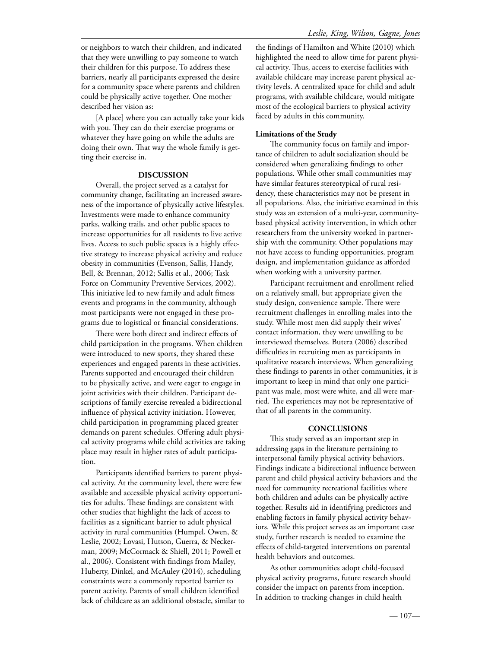[A place] where you can actually take your kids with you. They can do their exercise programs or whatever they have going on while the adults are doing their own. That way the whole family is getting their exercise in.

## DISCUSSION

Overall, the project served as a catalyst for community change, facilitating an increased awareness of the importance of physically active lifestyles. Investments were made to enhance community parks, walking trails, and other public spaces to increase opportunities for all residents to live active lives. Access to such public spaces is a highly effective strategy to increase physical activity and reduce obesity in communities (Evenson, Sallis, Handy, Bell, & Brennan, 2012; Sallis et al., 2006; Task Force on Community Preventive Services, 2002). This initiative led to new family and adult fitness events and programs in the community, although most participants were not engaged in these programs due to logistical or financial considerations.

There were both direct and indirect effects of child participation in the programs. When children were introduced to new sports, they shared these experiences and engaged parents in these activities. Parents supported and encouraged their children to be physically active, and were eager to engage in joint activities with their children. Participant descriptions of family exercise revealed a bidirectional influence of physical activity initiation. However, child participation in programming placed greater demands on parent schedules. Offering adult physical activity programs while child activities are taking place may result in higher rates of adult participation.

Participants identified barriers to parent physical activity. At the community level, there were few available and accessible physical activity opportunities for adults. These findings are consistent with other studies that highlight the lack of access to facilities as a significant barrier to adult physical activity in rural communities (Humpel, Owen, & Leslie, 2002; Lovasi, Hutson, Guerra, & Neckerman, 2009; McCormack & Shiell, 2011; Powell et al., 2006). Consistent with findings from Mailey, Huberty, Dinkel, and McAuley (2014), scheduling constraints were a commonly reported barrier to parent activity. Parents of small children identified lack of childcare as an additional obstacle, similar to the findings of Hamilton and White (2010) which highlighted the need to allow time for parent physical activity. Thus, access to exercise facilities with available childcare may increase parent physical activity levels. A centralized space for child and adult programs, with available childcare, would mitigate most of the ecological barriers to physical activity faced by adults in this community.

## Limitations of the Study

The community focus on family and importance of children to adult socialization should be considered when generalizing findings to other populations. While other small communities may have similar features stereotypical of rural residency, these characteristics may not be present in all populations. Also, the initiative examined in this study was an extension of a multi-year, communitybased physical activity intervention, in which other researchers from the university worked in partnership with the community. Other populations may not have access to funding opportunities, program design, and implementation guidance as afforded when working with a university partner.

Participant recruitment and enrollment relied on a relatively small, but appropriate given the study design, convenience sample. There were recruitment challenges in enrolling males into the study. While most men did supply their wives' contact information, they were unwilling to be interviewed themselves. Butera (2006) described difficulties in recruiting men as participants in qualitative research interviews. When generalizing these findings to parents in other communities, it is important to keep in mind that only one participant was male, most were white, and all were married. The experiences may not be representative of that of all parents in the community.

#### **CONCLUSIONS**

This study served as an important step in addressing gaps in the literature pertaining to interpersonal family physical activity behaviors. Findings indicate a bidirectional influence between parent and child physical activity behaviors and the need for community recreational facilities where both children and adults can be physically active together. Results aid in identifying predictors and enabling factors in family physical activity behaviors. While this project serves as an important case study, further research is needed to examine the effects of child-targeted interventions on parental health behaviors and outcomes.

As other communities adopt child-focused physical activity programs, future research should consider the impact on parents from inception. In addition to tracking changes in child health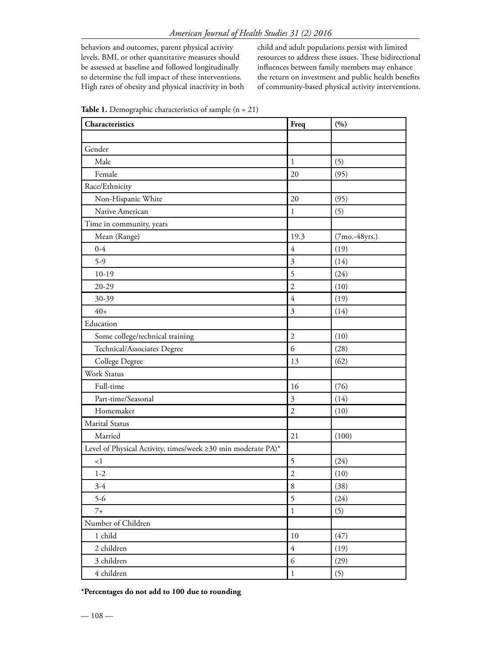behaviors and outcomes, parent physical activity levels, BMI, or other quantitative measures should be assessed at baseline and followed longitudinally to determine the full impact of these interventions. High rates of obesity and physical inactivity in both child and adult populations persist with limited resources to address these issues. These bidirectional influences between family members may enhance the return on investment and public health benefits of community-based physical activity interventions.

| Characteristics                                              | Freq                    | (9)             |
|--------------------------------------------------------------|-------------------------|-----------------|
|                                                              |                         |                 |
| Gender                                                       |                         |                 |
| Male                                                         | 1                       | (5)             |
| Female                                                       | 20                      | (95)            |
| Race/Ethnicity                                               |                         |                 |
| Non-Hispanic White                                           | 20                      | (95)            |
| Native American                                              | $\mathbf{1}$            | (5)             |
| Time in community, years                                     |                         |                 |
| Mean (Range)                                                 | 19.3                    | $(7mo.-48yrs.)$ |
| $0 - 4$                                                      | $\overline{4}$          | (19)            |
| $5-9$                                                        | $\mathfrak{Z}$          | (14)            |
| $10-19$                                                      | 5                       | (24)            |
| $20 - 29$                                                    | $\overline{2}$          | (10)            |
| 30-39                                                        | $\overline{4}$          | (19)            |
| $40+$                                                        | $\overline{\mathbf{3}}$ | (14)            |
| Education                                                    |                         |                 |
| Some college/technical training                              | $\overline{2}$          | (10)            |
| Technical/Associates Degree                                  | 6                       | (28)            |
| College Degree                                               | 13                      | (62)            |
| Work Status                                                  |                         |                 |
| Full-time                                                    | 16                      | (76)            |
| Part-time/Seasonal                                           | 3                       | (14)            |
| Homemaker                                                    | $\overline{2}$          | (10)            |
| <b>Marital Status</b>                                        |                         |                 |
| Married                                                      | 21                      | (100)           |
| Level of Physical Activity, times/week ≥30 min moderate PA)* |                         |                 |
| $\leq$ 1                                                     | 5                       | (24)            |
| $1 - 2$                                                      | $\overline{2}$          | (10)            |
| $3-4$                                                        | 8                       | (38)            |
| $5-6$                                                        | 5                       | (24)            |
| $7+$                                                         | $\,1$                   | (5)             |
| Number of Children                                           |                         |                 |
| 1 child                                                      | 10                      | (47)            |
| 2 children                                                   | $\sqrt{4}$              | (19)            |
| 3 children                                                   | 6                       | (29)            |
| 4 children                                                   | $\,1\,$                 | (5)             |

Table 1. Demographic characteristics of sample (n = 21)

\*Percentages do not add to 100 due to rounding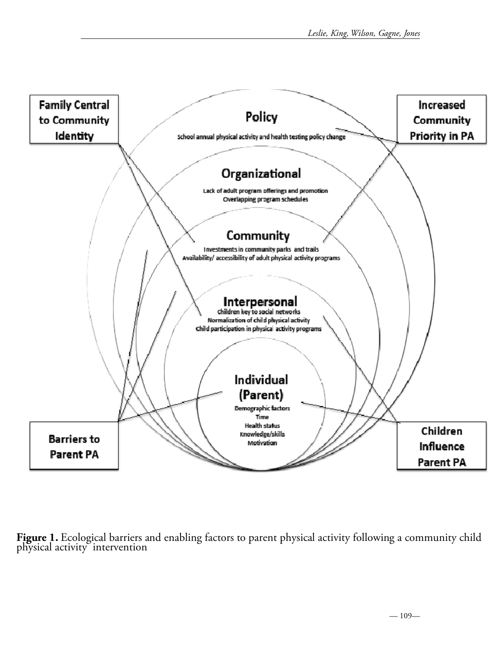

Figure 1. Ecological barriers and enabling factors to parent physical activity following a community child physical activity intervention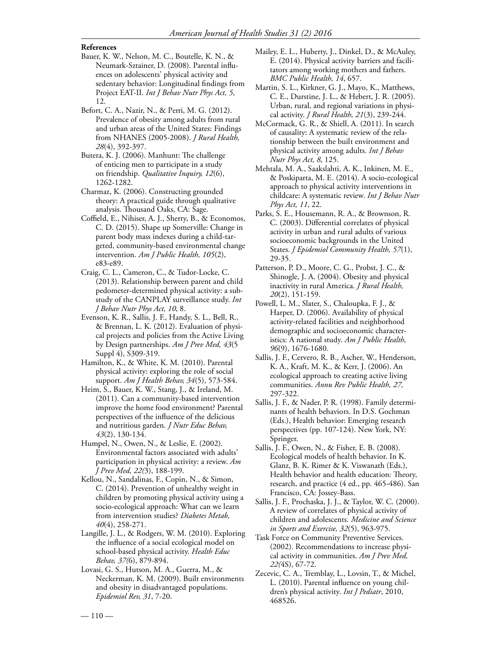## References

- Bauer, K. W., Nelson, M. C., Boutelle, K. N., & Neumark-Sztainer, D. (2008). Parental influences on adolescents' physical activity and sedentary behavior: Longitudinal findings from Project EAT-II. *Int J Behav Nutr Phys Act, 5*, 12.
- Befort, C. A., Nazir, N., & Perri, M. G. (2012). Prevalence of obesity among adults from rural and urban areas of the United States: Findings from NHANES (2005-2008). *J Rural Health, 28*(4), 392-397.
- Butera, K. J. (2006). Manhunt: The challenge of enticing men to participate in a study on friendship. *Qualitative Inquiry, 12*(6), 1262-1282.
- Charmaz, K. (2006). Constructing grounded theory: A practical guide through qualitative analysis. Thousand Oaks, CA: Sage.
- Coffield, E., Nihiser, A. J., Sherry, B., & Economos, C. D. (2015). Shape up Somerville: Change in parent body mass indexes during a child-targeted, community-based environmental change intervention. *Am J Public Health, 105*(2), e83-e89.
- Craig, C. L., Cameron, C., & Tudor-Locke, C. (2013). Relationship between parent and child pedometer-determined physical activity: a substudy of the CANPLAY surveillance study. *Int J Behav Nutr Phys Act, 10*, 8.
- Evenson, K. R., Sallis, J. F., Handy, S. L., Bell, R., & Brennan, L. K. (2012). Evaluation of physical projects and policies from the Active Living by Design partnerships. *Am J Prev Med, 43*(5 Suppl 4), S309-319.
- Hamilton, K., & White, K. M. (2010). Parental physical activity: exploring the role of social support. *Am J Health Behav, 34*(5), 573-584.
- Heim, S., Bauer, K. W., Stang, J., & Ireland, M. (2011). Can a community-based intervention improve the home food environment? Parental perspectives of the influence of the delicious and nutritious garden. *J Nutr Educ Behav, 43*(2), 130-134.
- Humpel, N., Owen, N., & Leslie, E. (2002). Environmental factors associated with adults' participation in physical activity: a review. *Am J Prev Med, 22(*3), 188-199.
- Kellou, N., Sandalinas, F., Copin, N., & Simon, C. (2014). Prevention of unhealthy weight in children by promoting physical activity using a socio-ecological approach: What can we learn from intervention studies? *Diabetes Metab, 40*(4), 258-271.
- Langille, J. L., & Rodgers, W. M. (2010). Exploring the influence of a social ecological model on school-based physical activity. *Health Educ Behav, 37(*6), 879-894.
- Lovasi, G. S., Hutson, M. A., Guerra, M., & Neckerman, K. M. (2009). Built environments and obesity in disadvantaged populations. *Epidemiol Rev, 31*, 7-20.
- Mailey, E. L., Huberty, J., Dinkel, D., & McAuley, E. (2014). Physical activity barriers and facilitators among working mothers and fathers. *BMC Public Health, 14*, 657.
- Martin, S. L., Kirkner, G. J., Mayo, K., Matthews, C. E., Durstine, J. L., & Hebert, J. R. (2005). Urban, rural, and regional variations in physical activity. *J Rural Health, 21*(3), 239-244.
- McCormack, G. R., & Shiell, A. (2011). In search of causality: A systematic review of the relationship between the built environment and physical activity among adults. *Int J Behav Nutr Phys Act, 8*, 125.
- Mehtala, M. A., Saakslahti, A. K., Inkinen, M. E., & Poskiparta, M. E. (2014). A socio-ecological approach to physical activity interventions in childcare: A systematic review. *Int J Behav Nutr Phys Act, 11*, 22.
- Parks, S. E., Housemann, R. A., & Brownson, R. C. (2003). Differential correlates of physical activity in urban and rural adults of various socioeconomic backgrounds in the United States. *J Epidemiol Community Health, 57*(1), 29-35.
- Patterson, P. D., Moore, C. G., Probst, J. C., & Shinogle, J. A. (2004). Obesity and physical inactivity in rural America. *J Rural Health, 20*(2), 151-159.
- Powell, L. M., Slater, S., Chaloupka, F. J., & Harper, D. (2006). Availability of physical activity-related facilities and neighborhood demographic and socioeconomic characteristics: A national study. *Am J Public Health, 96*(9), 1676-1680.
- Sallis, J. F., Cervero, R. B., Ascher, W., Henderson, K. A., Kraft, M. K., & Kerr, J. (2006). An ecological approach to creating active living communities. *Annu Rev Public Health, 27,* 297-322.
- Sallis, J. F., & Nader, P. R. (1998). Family determinants of health behaviors. In D.S. Gochman (Eds.), Health behavior: Emerging research perspectives (pp. 107-124). New York, NY: Springer.
- Sallis, J. F., Owen, N., & Fisher, E. B. (2008). Ecological models of health behavior. In K. Glanz, B. K. Rimer & K. Viswanath (Eds.), Health behavior and health education: Theory, research, and practice (4 ed., pp. 465-486). San Francisco, CA: Jossey-Bass.
- Sallis, J. F., Prochaska, J. J., & Taylor, W. C. (2000). A review of correlates of physical activity of children and adolescents. *Medicine and Science in Sports and Exercise, 32*(5), 963-975.
- Task Force on Community Preventive Services. (2002). Recommendations to increase physical activity in communities. *Am J Prev Med, 22(*4S), 67-72.
- Zecevic, C. A., Tremblay, L., Lovsin, T., & Michel, L. (2010). Parental influence on young children's physical activity. *Int J Pediatr*, 2010, 468526.